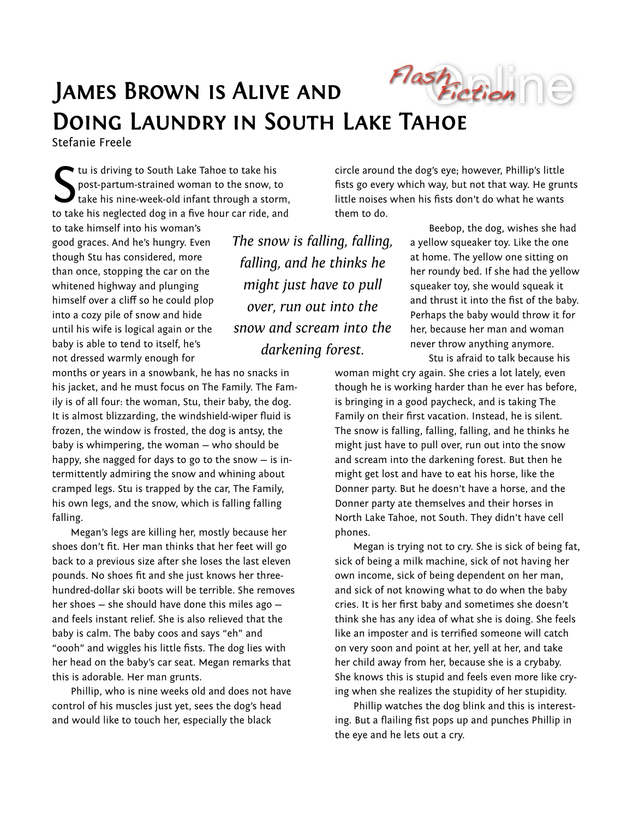

## James Brown is Alive and Doing Laundry in South Lake Tahoe

Stefanie Freele

tu is driving to South Lake Tahoe to take his post-partum-strained woman to the snow, to take his nine-week-old infant through a storm, to take his neglected dog in a five hour car ride, and  $S_{\text{task}}^{\text{tu i}}$ 

to take himself into his woman's good graces. And he's hungry. Even though Stu has considered, more than once, stopping the car on the whitened highway and plunging himself over a cliff so he could plop into a cozy pile of snow and hide until his wife is logical again or the baby is able to tend to itself, he's not dressed warmly enough for

months or years in a snowbank, he has no snacks in his jacket, and he must focus on The Family. The Family is of all four: the woman, Stu, their baby, the dog. It is almost blizzarding, the windshield-wiper fluid is frozen, the window is frosted, the dog is antsy, the baby is whimpering, the woman — who should be happy, she nagged for days to go to the snow — is intermittently admiring the snow and whining about cramped legs. Stu is trapped by the car, The Family, his own legs, and the snow, which is falling falling falling.

Megan's legs are killing her, mostly because her shoes don't fit. Her man thinks that her feet will go back to a previous size after she loses the last eleven pounds. No shoes fit and she just knows her threehundred-dollar ski boots will be terrible. She removes her shoes — she should have done this miles ago and feels instant relief. She is also relieved that the baby is calm. The baby coos and says "eh" and "oooh" and wiggles his little fists. The dog lies with her head on the baby's car seat. Megan remarks that this is adorable. Her man grunts.

Phillip, who is nine weeks old and does not have control of his muscles just yet, sees the dog's head and would like to touch her, especially the black

*The snow is falling, falling, falling, and he thinks he might just have to pull over, run out into the snow and scream into the darkening forest.* 

circle around the dog's eye; however, Phillip's little fists go every which way, but not that way. He grunts little noises when his fists don't do what he wants them to do.

> Beebop, the dog, wishes she had a yellow squeaker toy. Like the one at home. The yellow one sitting on her roundy bed. If she had the yellow squeaker toy, she would squeak it and thrust it into the fist of the baby. Perhaps the baby would throw it for her, because her man and woman never throw anything anymore.

Stu is afraid to talk because his woman might cry again. She cries a lot lately, even though he is working harder than he ever has before, is bringing in a good paycheck, and is taking The Family on their first vacation. Instead, he is silent. The snow is falling, falling, falling, and he thinks he might just have to pull over, run out into the snow and scream into the darkening forest. But then he might get lost and have to eat his horse, like the Donner party. But he doesn't have a horse, and the Donner party ate themselves and their horses in North Lake Tahoe, not South. They didn't have cell phones.

Megan is trying not to cry. She is sick of being fat, sick of being a milk machine, sick of not having her own income, sick of being dependent on her man, and sick of not knowing what to do when the baby cries. It is her first baby and sometimes she doesn't think she has any idea of what she is doing. She feels like an imposter and is terrified someone will catch on very soon and point at her, yell at her, and take her child away from her, because she is a crybaby. She knows this is stupid and feels even more like crying when she realizes the stupidity of her stupidity.

Phillip watches the dog blink and this is interesting. But a flailing fist pops up and punches Phillip in the eye and he lets out a cry.